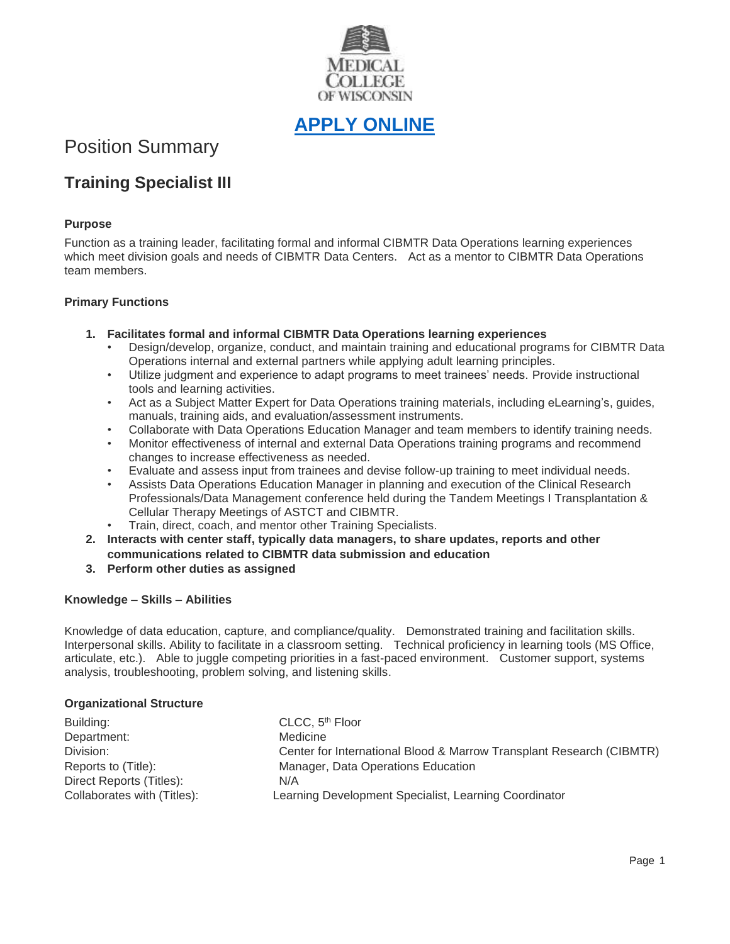

**[APPLY ONLINE](https://careers.peopleclick.com/careerscp/client_medcollegewi/external_staff/gateway.do?functionName=viewFromLink&jobPostId=23137&localeCode=en-us)**

# Position Summary

# **Training Specialist III**

# **Purpose**

Function as a training leader, facilitating formal and informal CIBMTR Data Operations learning experiences which meet division goals and needs of CIBMTR Data Centers. Act as a mentor to CIBMTR Data Operations team members.

## **Primary Functions**

- **1. Facilitates formal and informal CIBMTR Data Operations learning experiences**
	- Design/develop, organize, conduct, and maintain training and educational programs for CIBMTR Data Operations internal and external partners while applying adult learning principles.
	- Utilize judgment and experience to adapt programs to meet trainees' needs. Provide instructional tools and learning activities.
	- Act as a Subject Matter Expert for Data Operations training materials, including eLearning's, guides, manuals, training aids, and evaluation/assessment instruments.
	- Collaborate with Data Operations Education Manager and team members to identify training needs.
	- Monitor effectiveness of internal and external Data Operations training programs and recommend changes to increase effectiveness as needed.
	- Evaluate and assess input from trainees and devise follow-up training to meet individual needs.
	- Assists Data Operations Education Manager in planning and execution of the Clinical Research Professionals/Data Management conference held during the Tandem Meetings I Transplantation & Cellular Therapy Meetings of ASTCT and CIBMTR.
	- Train, direct, coach, and mentor other Training Specialists.
- **2. Interacts with center staff, typically data managers, to share updates, reports and other communications related to CIBMTR data submission and education**
- **3. Perform other duties as assigned**

#### **Knowledge – Skills – Abilities**

Knowledge of data education, capture, and compliance/quality. Demonstrated training and facilitation skills. Interpersonal skills. Ability to facilitate in a classroom setting. Technical proficiency in learning tools (MS Office, articulate, etc.). Able to juggle competing priorities in a fast-paced environment. Customer support, systems analysis, troubleshooting, problem solving, and listening skills.

#### **Organizational Structure**

| Building:                   | CLCC, 5 <sup>th</sup> Floor                                          |
|-----------------------------|----------------------------------------------------------------------|
| Department:                 | Medicine                                                             |
| Division:                   | Center for International Blood & Marrow Transplant Research (CIBMTR) |
| Reports to (Title):         | Manager, Data Operations Education                                   |
| Direct Reports (Titles):    | N/A                                                                  |
| Collaborates with (Titles): | Learning Development Specialist, Learning Coordinator                |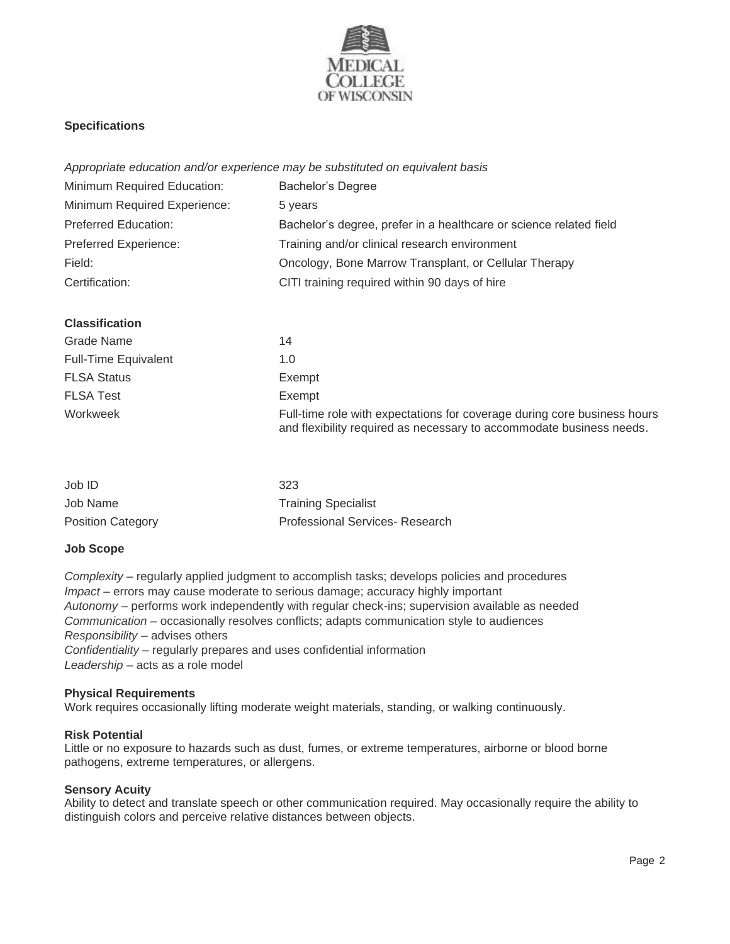

# **Specifications**

*Appropriate education and/or experience may be substituted on equivalent basis*

| Minimum Required Education:  | <b>Bachelor's Degree</b>                                           |
|------------------------------|--------------------------------------------------------------------|
| Minimum Required Experience: | 5 years                                                            |
| <b>Preferred Education:</b>  | Bachelor's degree, prefer in a healthcare or science related field |
| Preferred Experience:        | Training and/or clinical research environment                      |
| Field:                       | Oncology, Bone Marrow Transplant, or Cellular Therapy              |
| Certification:               | CITI training required within 90 days of hire                      |

## **Classification**

| Grade Name                  | 14                                                                                                                                               |
|-----------------------------|--------------------------------------------------------------------------------------------------------------------------------------------------|
| <b>Full-Time Equivalent</b> | 1.0                                                                                                                                              |
| <b>FLSA Status</b>          | Exempt                                                                                                                                           |
| <b>FLSA Test</b>            | Exempt                                                                                                                                           |
| Workweek                    | Full-time role with expectations for coverage during core business hours<br>and flexibility required as necessary to accommodate business needs. |

| Job ID                   | 323                             |
|--------------------------|---------------------------------|
| Job Name                 | <b>Training Specialist</b>      |
| <b>Position Category</b> | Professional Services- Research |

#### **Job Scope**

*Complexity –* regularly applied judgment to accomplish tasks; develops policies and procedures *Impact –* errors may cause moderate to serious damage; accuracy highly important *Autonomy –* performs work independently with regular check-ins; supervision available as needed *Communication –* occasionally resolves conflicts; adapts communication style to audiences *Responsibility –* advises others *Confidentiality –* regularly prepares and uses confidential information *Leadership –* acts as a role model

### **Physical Requirements**

Work requires occasionally lifting moderate weight materials, standing, or walking continuously.

### **Risk Potential**

Little or no exposure to hazards such as dust, fumes, or extreme temperatures, airborne or blood borne pathogens, extreme temperatures, or allergens.

#### **Sensory Acuity**

Ability to detect and translate speech or other communication required. May occasionally require the ability to distinguish colors and perceive relative distances between objects.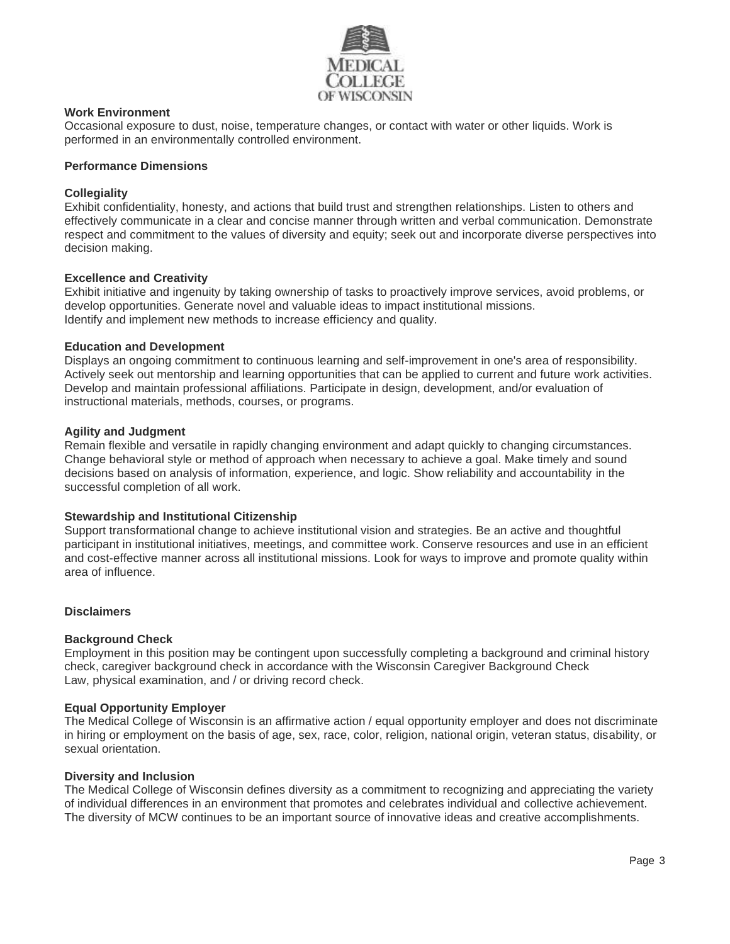

# **Work Environment**

Occasional exposure to dust, noise, temperature changes, or contact with water or other liquids. Work is performed in an environmentally controlled environment.

#### **Performance Dimensions**

### **Collegiality**

Exhibit confidentiality, honesty, and actions that build trust and strengthen relationships. Listen to others and effectively communicate in a clear and concise manner through written and verbal communication. Demonstrate respect and commitment to the values of diversity and equity; seek out and incorporate diverse perspectives into decision making.

#### **Excellence and Creativity**

Exhibit initiative and ingenuity by taking ownership of tasks to proactively improve services, avoid problems, or develop opportunities. Generate novel and valuable ideas to impact institutional missions. Identify and implement new methods to increase efficiency and quality.

#### **Education and Development**

Displays an ongoing commitment to continuous learning and self-improvement in one's area of responsibility. Actively seek out mentorship and learning opportunities that can be applied to current and future work activities. Develop and maintain professional affiliations. Participate in design, development, and/or evaluation of instructional materials, methods, courses, or programs.

#### **Agility and Judgment**

Remain flexible and versatile in rapidly changing environment and adapt quickly to changing circumstances. Change behavioral style or method of approach when necessary to achieve a goal. Make timely and sound decisions based on analysis of information, experience, and logic. Show reliability and accountability in the successful completion of all work.

#### **Stewardship and Institutional Citizenship**

Support transformational change to achieve institutional vision and strategies. Be an active and thoughtful participant in institutional initiatives, meetings, and committee work. Conserve resources and use in an efficient and cost-effective manner across all institutional missions. Look for ways to improve and promote quality within area of influence.

#### **Disclaimers**

#### **Background Check**

Employment in this position may be contingent upon successfully completing a background and criminal history check, caregiver background check in accordance with the Wisconsin Caregiver Background Check Law, physical examination, and / or driving record check.

#### **Equal Opportunity Employer**

The Medical College of Wisconsin is an affirmative action / equal opportunity employer and does not discriminate in hiring or employment on the basis of age, sex, race, color, religion, national origin, veteran status, disability, or sexual orientation.

#### **Diversity and Inclusion**

The Medical College of Wisconsin defines diversity as a commitment to recognizing and appreciating the variety of individual differences in an environment that promotes and celebrates individual and collective achievement. The diversity of MCW continues to be an important source of innovative ideas and creative accomplishments.